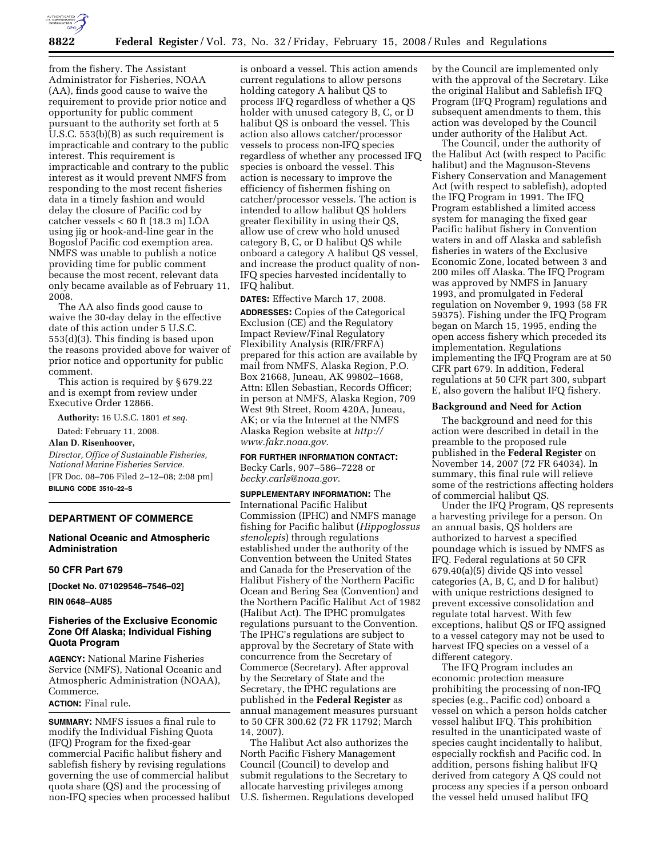

from the fishery. The Assistant Administrator for Fisheries, NOAA (AA), finds good cause to waive the requirement to provide prior notice and opportunity for public comment pursuant to the authority set forth at 5 U.S.C. 553(b)(B) as such requirement is impracticable and contrary to the public interest. This requirement is impracticable and contrary to the public interest as it would prevent NMFS from responding to the most recent fisheries data in a timely fashion and would delay the closure of Pacific cod by catcher vessels < 60 ft (18.3 m) LOA using jig or hook-and-line gear in the Bogoslof Pacific cod exemption area. NMFS was unable to publish a notice providing time for public comment because the most recent, relevant data only became available as of February 11, 2008.

The AA also finds good cause to waive the 30-day delay in the effective date of this action under 5 U.S.C. 553(d)(3). This finding is based upon the reasons provided above for waiver of prior notice and opportunity for public comment.

This action is required by § 679.22 and is exempt from review under Executive Order 12866.

**Authority:** 16 U.S.C. 1801 *et seq.* 

Dated: February 11, 2008.

**Alan D. Risenhoover,**  *Director, Office of Sustainable Fisheries, National Marine Fisheries Service.*  [FR Doc. 08–706 Filed 2–12–08; 2:08 pm]

**BILLING CODE 3510–22–S** 

## **DEPARTMENT OF COMMERCE**

## **National Oceanic and Atmospheric Administration**

## **50 CFR Part 679**

**[Docket No. 071029546–7546–02]** 

**RIN 0648–AU85** 

## **Fisheries of the Exclusive Economic Zone Off Alaska; Individual Fishing Quota Program**

**AGENCY:** National Marine Fisheries Service (NMFS), National Oceanic and Atmospheric Administration (NOAA), Commerce.

**ACTION:** Final rule.

**SUMMARY:** NMFS issues a final rule to modify the Individual Fishing Quota (IFQ) Program for the fixed-gear commercial Pacific halibut fishery and sablefish fishery by revising regulations governing the use of commercial halibut quota share (QS) and the processing of non-IFQ species when processed halibut

is onboard a vessel. This action amends current regulations to allow persons holding category A halibut QS to process IFQ regardless of whether a QS holder with unused category B, C, or D halibut QS is onboard the vessel. This action also allows catcher/processor vessels to process non-IFQ species regardless of whether any processed IFQ species is onboard the vessel. This action is necessary to improve the efficiency of fishermen fishing on catcher/processor vessels. The action is intended to allow halibut QS holders greater flexibility in using their QS, allow use of crew who hold unused category B, C, or D halibut QS while onboard a category A halibut QS vessel, and increase the product quality of non-IFQ species harvested incidentally to IFQ halibut.

**DATES:** Effective March 17, 2008.

**ADDRESSES:** Copies of the Categorical Exclusion (CE) and the Regulatory Impact Review/Final Regulatory Flexibility Analysis (RIR/FRFA) prepared for this action are available by mail from NMFS, Alaska Region, P.O. Box 21668, Juneau, AK 99802–1668, Attn: Ellen Sebastian, Records Officer; in person at NMFS, Alaska Region, 709 West 9th Street, Room 420A, Juneau, AK; or via the Internet at the NMFS Alaska Region website at *http:// www.fakr.noaa.gov*.

# **FOR FURTHER INFORMATION CONTACT:**

Becky Carls, 907–586–7228 or *becky.carls@noaa.gov*.

**SUPPLEMENTARY INFORMATION:** The International Pacific Halibut Commission (IPHC) and NMFS manage fishing for Pacific halibut (*Hippoglossus stenolepis*) through regulations established under the authority of the Convention between the United States and Canada for the Preservation of the Halibut Fishery of the Northern Pacific Ocean and Bering Sea (Convention) and the Northern Pacific Halibut Act of 1982 (Halibut Act). The IPHC promulgates regulations pursuant to the Convention. The IPHC's regulations are subject to approval by the Secretary of State with concurrence from the Secretary of Commerce (Secretary). After approval by the Secretary of State and the Secretary, the IPHC regulations are published in the **Federal Register** as annual management measures pursuant to 50 CFR 300.62 (72 FR 11792; March 14, 2007).

The Halibut Act also authorizes the North Pacific Fishery Management Council (Council) to develop and submit regulations to the Secretary to allocate harvesting privileges among U.S. fishermen. Regulations developed by the Council are implemented only with the approval of the Secretary. Like the original Halibut and Sablefish IFQ Program (IFQ Program) regulations and subsequent amendments to them, this action was developed by the Council under authority of the Halibut Act.

The Council, under the authority of the Halibut Act (with respect to Pacific halibut) and the Magnuson-Stevens Fishery Conservation and Management Act (with respect to sablefish), adopted the IFQ Program in 1991. The IFQ Program established a limited access system for managing the fixed gear Pacific halibut fishery in Convention waters in and off Alaska and sablefish fisheries in waters of the Exclusive Economic Zone, located between 3 and 200 miles off Alaska. The IFQ Program was approved by NMFS in January 1993, and promulgated in Federal regulation on November 9, 1993 (58 FR 59375). Fishing under the IFQ Program began on March 15, 1995, ending the open access fishery which preceded its implementation. Regulations implementing the IFQ Program are at 50 CFR part 679. In addition, Federal regulations at 50 CFR part 300, subpart E, also govern the halibut IFQ fishery.

#### **Background and Need for Action**

The background and need for this action were described in detail in the preamble to the proposed rule published in the **Federal Register** on November 14, 2007 (72 FR 64034). In summary, this final rule will relieve some of the restrictions affecting holders of commercial halibut QS.

Under the IFQ Program, QS represents a harvesting privilege for a person. On an annual basis, QS holders are authorized to harvest a specified poundage which is issued by NMFS as IFQ. Federal regulations at 50 CFR 679.40(a)(5) divide QS into vessel categories (A, B, C, and D for halibut) with unique restrictions designed to prevent excessive consolidation and regulate total harvest. With few exceptions, halibut QS or IFQ assigned to a vessel category may not be used to harvest IFQ species on a vessel of a different category.

The IFQ Program includes an economic protection measure prohibiting the processing of non-IFQ species (e.g., Pacific cod) onboard a vessel on which a person holds catcher vessel halibut IFQ. This prohibition resulted in the unanticipated waste of species caught incidentally to halibut, especially rockfish and Pacific cod. In addition, persons fishing halibut IFQ derived from category A QS could not process any species if a person onboard the vessel held unused halibut IFQ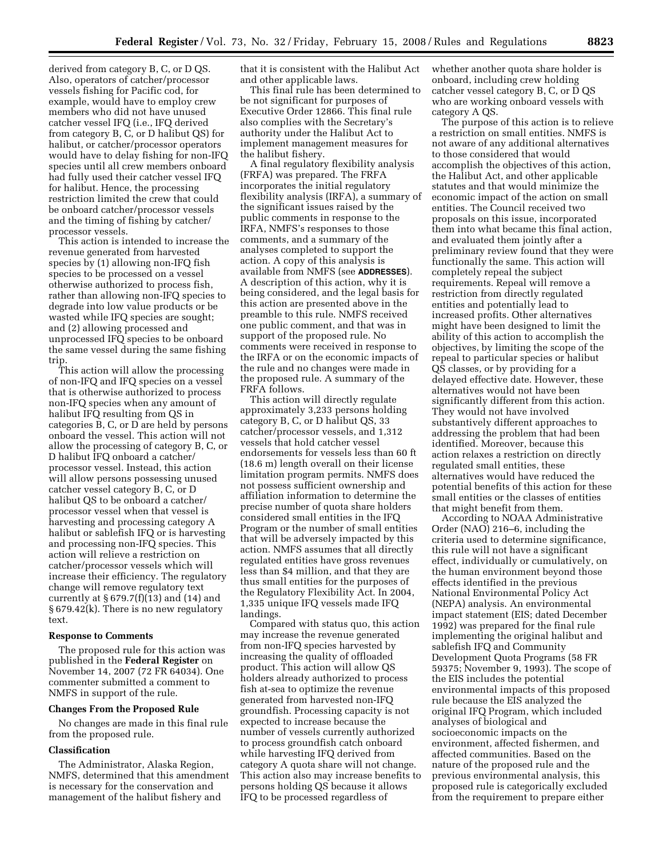derived from category B, C, or D QS. Also, operators of catcher/processor vessels fishing for Pacific cod, for example, would have to employ crew members who did not have unused catcher vessel IFQ (i.e., IFQ derived from category B, C, or D halibut QS) for halibut, or catcher/processor operators would have to delay fishing for non-IFQ species until all crew members onboard had fully used their catcher vessel IFQ for halibut. Hence, the processing restriction limited the crew that could be onboard catcher/processor vessels and the timing of fishing by catcher/ processor vessels.

This action is intended to increase the revenue generated from harvested species by (1) allowing non-IFQ fish species to be processed on a vessel otherwise authorized to process fish, rather than allowing non-IFQ species to degrade into low value products or be wasted while IFQ species are sought; and (2) allowing processed and unprocessed IFQ species to be onboard the same vessel during the same fishing trip.

This action will allow the processing of non-IFQ and IFQ species on a vessel that is otherwise authorized to process non-IFQ species when any amount of halibut IFQ resulting from QS in categories B, C, or D are held by persons onboard the vessel. This action will not allow the processing of category B, C, or D halibut IFQ onboard a catcher/ processor vessel. Instead, this action will allow persons possessing unused catcher vessel category B, C, or D halibut QS to be onboard a catcher/ processor vessel when that vessel is harvesting and processing category A halibut or sablefish IFQ or is harvesting and processing non-IFQ species. This action will relieve a restriction on catcher/processor vessels which will increase their efficiency. The regulatory change will remove regulatory text currently at  $\S 679.7(f)(13)$  and  $(14)$  and § 679.42(k). There is no new regulatory text.

#### **Response to Comments**

The proposed rule for this action was published in the **Federal Register** on November 14, 2007 (72 FR 64034). One commenter submitted a comment to NMFS in support of the rule.

#### **Changes From the Proposed Rule**

No changes are made in this final rule from the proposed rule.

#### **Classification**

The Administrator, Alaska Region, NMFS, determined that this amendment is necessary for the conservation and management of the halibut fishery and

that it is consistent with the Halibut Act and other applicable laws.

This final rule has been determined to be not significant for purposes of Executive Order 12866. This final rule also complies with the Secretary's authority under the Halibut Act to implement management measures for the halibut fishery.

A final regulatory flexibility analysis (FRFA) was prepared. The FRFA incorporates the initial regulatory flexibility analysis (IRFA), a summary of the significant issues raised by the public comments in response to the IRFA, NMFS's responses to those comments, and a summary of the analyses completed to support the action. A copy of this analysis is available from NMFS (see **ADDRESSES**). A description of this action, why it is being considered, and the legal basis for this action are presented above in the preamble to this rule. NMFS received one public comment, and that was in support of the proposed rule. No comments were received in response to the IRFA or on the economic impacts of the rule and no changes were made in the proposed rule. A summary of the FRFA follows.

This action will directly regulate approximately 3,233 persons holding category B, C, or D halibut QS, 33 catcher/processor vessels, and 1,312 vessels that hold catcher vessel endorsements for vessels less than 60 ft (18.6 m) length overall on their license limitation program permits. NMFS does not possess sufficient ownership and affiliation information to determine the precise number of quota share holders considered small entities in the IFQ Program or the number of small entities that will be adversely impacted by this action. NMFS assumes that all directly regulated entities have gross revenues less than \$4 million, and that they are thus small entities for the purposes of the Regulatory Flexibility Act. In 2004, 1,335 unique IFQ vessels made IFQ landings.

Compared with status quo, this action may increase the revenue generated from non-IFQ species harvested by increasing the quality of offloaded product. This action will allow QS holders already authorized to process fish at-sea to optimize the revenue generated from harvested non-IFQ groundfish. Processing capacity is not expected to increase because the number of vessels currently authorized to process groundfish catch onboard while harvesting IFQ derived from category A quota share will not change. This action also may increase benefits to persons holding QS because it allows IFQ to be processed regardless of

whether another quota share holder is onboard, including crew holding catcher vessel category B, C, or D QS who are working onboard vessels with category A QS.

The purpose of this action is to relieve a restriction on small entities. NMFS is not aware of any additional alternatives to those considered that would accomplish the objectives of this action, the Halibut Act, and other applicable statutes and that would minimize the economic impact of the action on small entities. The Council received two proposals on this issue, incorporated them into what became this final action, and evaluated them jointly after a preliminary review found that they were functionally the same. This action will completely repeal the subject requirements. Repeal will remove a restriction from directly regulated entities and potentially lead to increased profits. Other alternatives might have been designed to limit the ability of this action to accomplish the objectives, by limiting the scope of the repeal to particular species or halibut QS classes, or by providing for a delayed effective date. However, these alternatives would not have been significantly different from this action. They would not have involved substantively different approaches to addressing the problem that had been identified. Moreover, because this action relaxes a restriction on directly regulated small entities, these alternatives would have reduced the potential benefits of this action for these small entities or the classes of entities that might benefit from them.

According to NOAA Administrative Order (NAO) 216–6, including the criteria used to determine significance, this rule will not have a significant effect, individually or cumulatively, on the human environment beyond those effects identified in the previous National Environmental Policy Act (NEPA) analysis. An environmental impact statement (EIS; dated December 1992) was prepared for the final rule implementing the original halibut and sablefish IFQ and Community Development Quota Programs (58 FR 59375; November 9, 1993). The scope of the EIS includes the potential environmental impacts of this proposed rule because the EIS analyzed the original IFQ Program, which included analyses of biological and socioeconomic impacts on the environment, affected fishermen, and affected communities. Based on the nature of the proposed rule and the previous environmental analysis, this proposed rule is categorically excluded from the requirement to prepare either